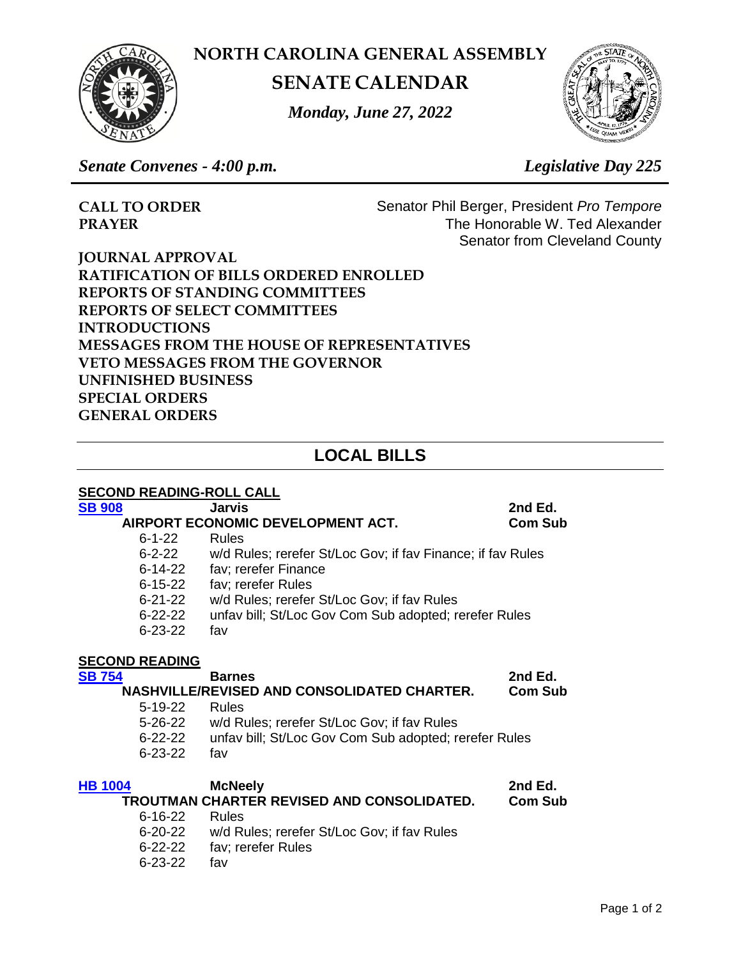**NORTH CAROLINA GENERAL ASSEMBLY**



**SENATE CALENDAR**

*Monday, June 27, 2022*



*Senate Convenes - 4:00 p.m. Legislative Day 225*

**CALL TO ORDER** Senator Phil Berger, President *Pro Tempore* **PRAYER** The Honorable W. Ted Alexander Senator from Cleveland County

**JOURNAL APPROVAL RATIFICATION OF BILLS ORDERED ENROLLED REPORTS OF STANDING COMMITTEES REPORTS OF SELECT COMMITTEES INTRODUCTIONS MESSAGES FROM THE HOUSE OF REPRESENTATIVES VETO MESSAGES FROM THE GOVERNOR UNFINISHED BUSINESS SPECIAL ORDERS GENERAL ORDERS**

# **LOCAL BILLS**

| <b>SECOND READING-ROLL CALL</b>                               |                                                             |                |  |  |
|---------------------------------------------------------------|-------------------------------------------------------------|----------------|--|--|
| <b>SB 908</b>                                                 | <b>Jarvis</b>                                               | 2nd Ed.        |  |  |
| AIRPORT ECONOMIC DEVELOPMENT ACT.<br><b>Com Sub</b>           |                                                             |                |  |  |
| $6 - 1 - 22$                                                  | <b>Rules</b>                                                |                |  |  |
| 6-2-22                                                        | w/d Rules; rerefer St/Loc Gov; if fav Finance; if fav Rules |                |  |  |
| 6-14-22                                                       | fav; rerefer Finance                                        |                |  |  |
| $6 - 15 - 22$                                                 | fav; rerefer Rules                                          |                |  |  |
| 6-21-22                                                       | w/d Rules; rerefer St/Loc Gov; if fav Rules                 |                |  |  |
| $6 - 22 - 22$                                                 | unfav bill; St/Loc Gov Com Sub adopted; rerefer Rules       |                |  |  |
| $6 - 23 - 22$                                                 | fav                                                         |                |  |  |
| <b>SECOND READING</b>                                         |                                                             |                |  |  |
| <b>SB 754</b>                                                 | <b>Barnes</b>                                               | 2nd Ed.        |  |  |
| NASHVILLE/REVISED AND CONSOLIDATED CHARTER.<br><b>Com Sub</b> |                                                             |                |  |  |
| $5 - 19 - 22$                                                 | <b>Rules</b>                                                |                |  |  |
| 5-26-22                                                       | w/d Rules; rerefer St/Loc Gov; if fav Rules                 |                |  |  |
| 6-22-22                                                       | unfav bill; St/Loc Gov Com Sub adopted; rerefer Rules       |                |  |  |
| $6 - 23 - 22$                                                 | fav                                                         |                |  |  |
| <b>HB 1004</b>                                                | <b>McNeely</b>                                              | 2nd Ed.        |  |  |
|                                                               | TROUTMAN CHARTER REVISED AND CONSOLIDATED.                  | <b>Com Sub</b> |  |  |
| 6-16-22                                                       | <b>Rules</b>                                                |                |  |  |
| 6-20-22                                                       | w/d Rules; rerefer St/Loc Gov; if fav Rules                 |                |  |  |
|                                                               |                                                             |                |  |  |

- 6-22-22 fav; rerefer Rules
- 6-23-22 fav